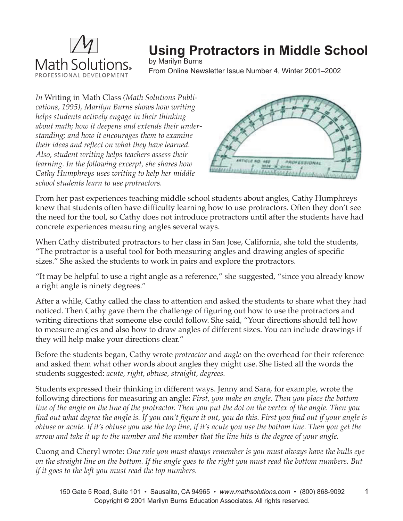

## **Using Protractors in Middle School** by Marilyn Burns

From Online Newsletter Issue Number 4, Winter 2001–2002

*In* Writing in Math Class *(Math Solutions Publications, 1995), Marilyn Burns shows how writing helps students actively engage in their thinking about math; how it deepens and extends their understanding; and how it encourages them to examine their ideas and reflect on what they have learned. Also, student writing helps teachers assess their learning. In the following excerpt, she shares how Cathy Humphreys uses writing to help her middle school students learn to use protractors.*



From her past experiences teaching middle school students about angles, Cathy Humphreys knew that students often have difficulty learning how to use protractors. Often they don't see the need for the tool, so Cathy does not introduce protractors until after the students have had concrete experiences measuring angles several ways.

When Cathy distributed protractors to her class in San Jose, California, she told the students, "The protractor is a useful tool for both measuring angles and drawing angles of specific sizes." She asked the students to work in pairs and explore the protractors.

"It may be helpful to use a right angle as a reference," she suggested, "since you already know a right angle is ninety degrees."

After a while, Cathy called the class to attention and asked the students to share what they had noticed. Then Cathy gave them the challenge of figuring out how to use the protractors and writing directions that someone else could follow. She said, "Your directions should tell how to measure angles and also how to draw angles of different sizes. You can include drawings if they will help make your directions clear."

Before the students began, Cathy wrote *protractor* and *angle* on the overhead for their reference and asked them what other words about angles they might use. She listed all the words the students suggested: *acute, right, obtuse, straight, degrees.*

Students expressed their thinking in different ways. Jenny and Sara, for example, wrote the following directions for measuring an angle: *First, you make an angle. Then you place the bottom line of the angle on the line of the protractor. Then you put the dot on the vertex of the angle. Then you find out what degree the angle is. If you can't figure it out, you do this. First you find out if your angle is obtuse or acute. If it's obtuse you use the top line, if it's acute you use the bottom line. Then you get the arrow and take it up to the number and the number that the line hits is the degree of your angle.*

Cuong and Cheryl wrote: *One rule you must always remember is you must always have the bulls eye on the straight line on the bottom. If the angle goes to the right you must read the bottom numbers. But if it goes to the left you must read the top numbers.*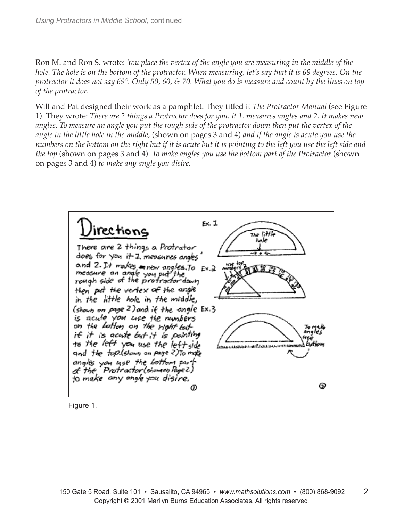Ron M. and Ron S. wrote: *You place the vertex of the angle you are measuring in the middle of the hole. The hole is on the bottom of the protractor. When measuring, let's say that it is 69 degrees. On the protractor it does not say 69°. Only 50, 60, & 70. What you do is measure and count by the lines on top of the protractor.*

Will and Pat designed their work as a pamphlet. They titled it *The Protractor Manual* (see Figure 1). They wrote: *There are 2 things a Protractor does for you. it 1. measures angles and 2. It makes new angles. To measure an angle you put the rough side of the protractor down then put the vertex of the angle in the little hole in the middle,* (shown on pages 3 and 4) *and if the angle is acute you use the numbers on the bottom on the right but if it is acute but it is pointing to the left you use the left side and the top* (shown on pages 3 and 4). *To make angles you use the bottom part of the Protractor* (shown on pages 3 and 4) *to make any angle you disire.*



Figure 1.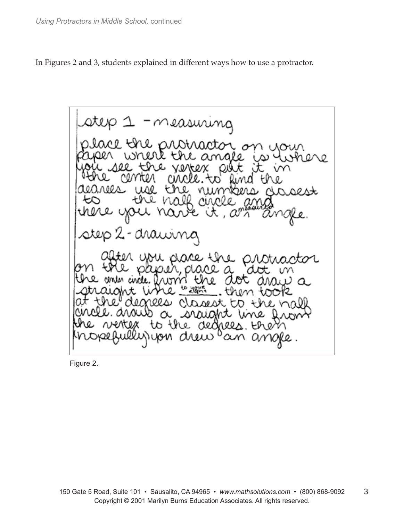In Figures 2 and 3, students explained in different ways how to use a protractor.

-measuring ρ1 ርለህ ils Λ U. ഢ 00  $\alpha$ ww

Figure 2.